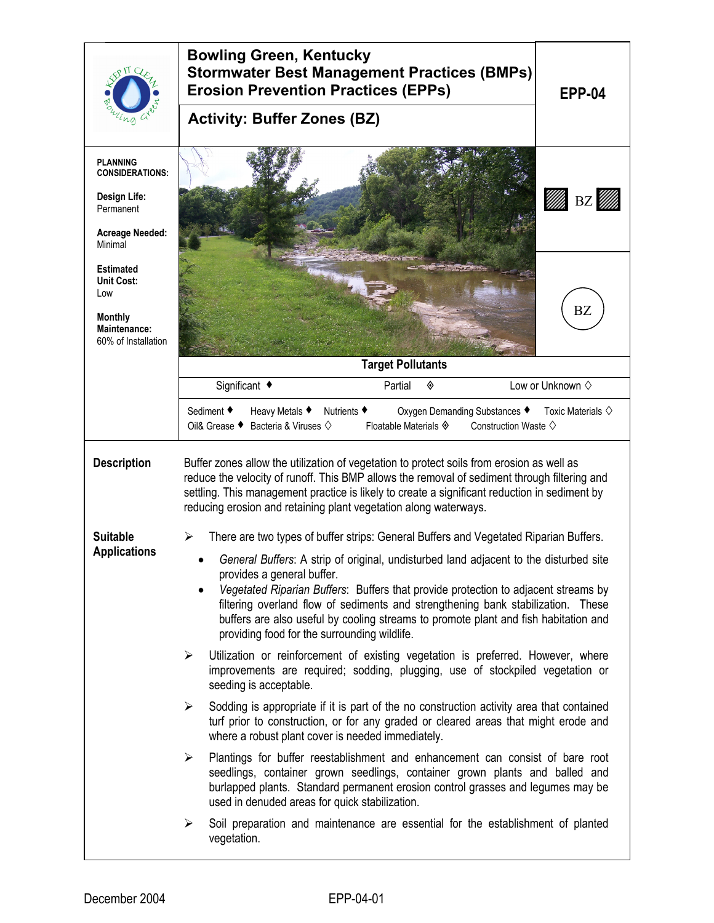|                                                                                                             | <b>Bowling Green, Kentucky</b><br><b>Stormwater Best Management Practices (BMPs)</b><br><b>Erosion Prevention Practices (EPPs)</b><br><b>EPP-04</b><br><b>Activity: Buffer Zones (BZ)</b>                                                                                                                                                                                                                                                                                                                                          |  |  |  |
|-------------------------------------------------------------------------------------------------------------|------------------------------------------------------------------------------------------------------------------------------------------------------------------------------------------------------------------------------------------------------------------------------------------------------------------------------------------------------------------------------------------------------------------------------------------------------------------------------------------------------------------------------------|--|--|--|
|                                                                                                             |                                                                                                                                                                                                                                                                                                                                                                                                                                                                                                                                    |  |  |  |
| <b>PLANNING</b><br><b>CONSIDERATIONS:</b><br>Design Life:<br>Permanent<br><b>Acreage Needed:</b><br>Minimal | BZ                                                                                                                                                                                                                                                                                                                                                                                                                                                                                                                                 |  |  |  |
| <b>Estimated</b><br><b>Unit Cost:</b><br>Low<br><b>Monthly</b><br>Maintenance:<br>60% of Installation       | <b>BZ</b>                                                                                                                                                                                                                                                                                                                                                                                                                                                                                                                          |  |  |  |
|                                                                                                             | <b>Target Pollutants</b>                                                                                                                                                                                                                                                                                                                                                                                                                                                                                                           |  |  |  |
|                                                                                                             | Significant ◆<br>Low or Unknown $\diamond$<br>Partial<br>◈                                                                                                                                                                                                                                                                                                                                                                                                                                                                         |  |  |  |
|                                                                                                             | Sediment ◆<br>Heavy Metals ♦<br>Nutrients ♦<br>Oxygen Demanding Substances ♦<br>Toxic Materials $\diamondsuit$<br>Bacteria & Viruses $\diamondsuit$<br>Floatable Materials $\hat{\mathbf{\diamond}}$<br>Oil& Grease ♦<br>Construction Waste $\diamond$                                                                                                                                                                                                                                                                             |  |  |  |
| <b>Description</b>                                                                                          | Buffer zones allow the utilization of vegetation to protect soils from erosion as well as<br>reduce the velocity of runoff. This BMP allows the removal of sediment through filtering and<br>settling. This management practice is likely to create a significant reduction in sediment by<br>reducing erosion and retaining plant vegetation along waterways.                                                                                                                                                                     |  |  |  |
| <b>Suitable</b><br><b>Applications</b>                                                                      | There are two types of buffer strips: General Buffers and Vegetated Riparian Buffers.<br>⋗<br>General Buffers: A strip of original, undisturbed land adjacent to the disturbed site<br>provides a general buffer.<br>Vegetated Riparian Buffers: Buffers that provide protection to adjacent streams by<br>filtering overland flow of sediments and strengthening bank stabilization. These<br>buffers are also useful by cooling streams to promote plant and fish habitation and<br>providing food for the surrounding wildlife. |  |  |  |
|                                                                                                             | Utilization or reinforcement of existing vegetation is preferred. However, where<br>➤<br>improvements are required; sodding, plugging, use of stockpiled vegetation or<br>seeding is acceptable.                                                                                                                                                                                                                                                                                                                                   |  |  |  |
|                                                                                                             | Sodding is appropriate if it is part of the no construction activity area that contained<br>➤<br>turf prior to construction, or for any graded or cleared areas that might erode and<br>where a robust plant cover is needed immediately.                                                                                                                                                                                                                                                                                          |  |  |  |
|                                                                                                             | Plantings for buffer reestablishment and enhancement can consist of bare root<br>➤<br>seedlings, container grown seedlings, container grown plants and balled and<br>burlapped plants. Standard permanent erosion control grasses and legumes may be<br>used in denuded areas for quick stabilization.                                                                                                                                                                                                                             |  |  |  |
|                                                                                                             | Soil preparation and maintenance are essential for the establishment of planted<br>➤<br>vegetation.                                                                                                                                                                                                                                                                                                                                                                                                                                |  |  |  |